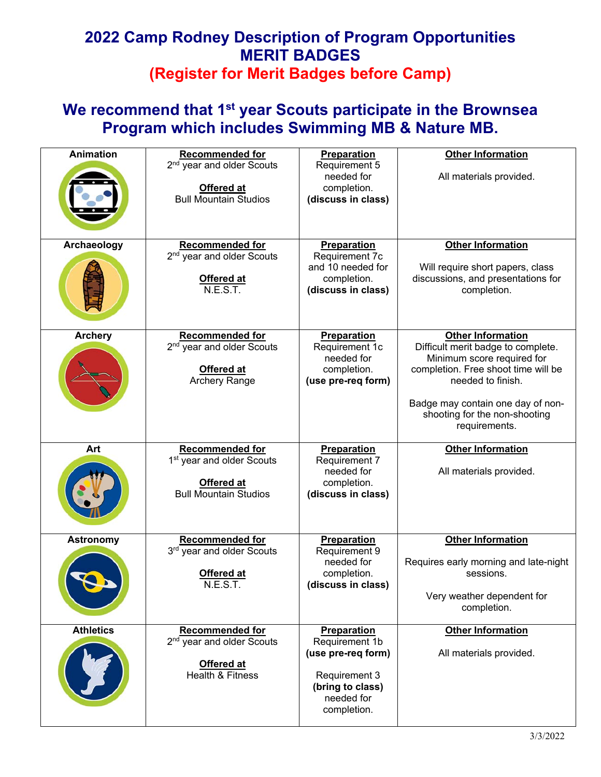### **We recommend that 1st year Scouts participate in the Brownsea Program which includes Swimming MB & Nature MB.**

| <b>Animation</b> | <b>Recommended for</b><br>2 <sup>nd</sup> year and older Scouts<br>Offered at<br><b>Bull Mountain Studios</b> | Preparation<br>Requirement 5<br>needed for<br>completion.<br>(discuss in class)                                                     | <b>Other Information</b><br>All materials provided.                                                                                                                                                                                             |
|------------------|---------------------------------------------------------------------------------------------------------------|-------------------------------------------------------------------------------------------------------------------------------------|-------------------------------------------------------------------------------------------------------------------------------------------------------------------------------------------------------------------------------------------------|
| Archaeology      | <b>Recommended for</b><br>2 <sup>nd</sup> year and older Scouts<br><b>Offered at</b><br>N.E.S.T.              | Preparation<br>Requirement 7c<br>and 10 needed for<br>completion.<br>(discuss in class)                                             | <b>Other Information</b><br>Will require short papers, class<br>discussions, and presentations for<br>completion.                                                                                                                               |
| <b>Archery</b>   | <b>Recommended for</b><br>2 <sup>nd</sup> year and older Scouts<br>Offered at<br>Archery Range                | Preparation<br>Requirement 1c<br>needed for<br>completion.<br>(use pre-req form)                                                    | <b>Other Information</b><br>Difficult merit badge to complete.<br>Minimum score required for<br>completion. Free shoot time will be<br>needed to finish.<br>Badge may contain one day of non-<br>shooting for the non-shooting<br>requirements. |
| Art              | <b>Recommended for</b><br>1 <sup>st</sup> year and older Scouts<br>Offered at<br><b>Bull Mountain Studios</b> | Preparation<br>Requirement 7<br>needed for<br>completion.<br>(discuss in class)                                                     | <b>Other Information</b><br>All materials provided.                                                                                                                                                                                             |
| <b>Astronomy</b> | <b>Recommended for</b><br>3rd year and older Scouts<br>Offered at<br>N.E.S.T.                                 | <b>Preparation</b><br>Requirement 9<br>needed for<br>completion.<br>(discuss in class)                                              | <b>Other Information</b><br>Requires early morning and late-night<br>sessions.<br>Very weather dependent for<br>completion.                                                                                                                     |
| <b>Athletics</b> | <b>Recommended for</b><br>2 <sup>nd</sup> year and older Scouts<br>Offered at<br>Health & Fitness             | <b>Preparation</b><br>Requirement 1b<br>(use pre-req form)<br><b>Requirement 3</b><br>(bring to class)<br>needed for<br>completion. | <b>Other Information</b><br>All materials provided.                                                                                                                                                                                             |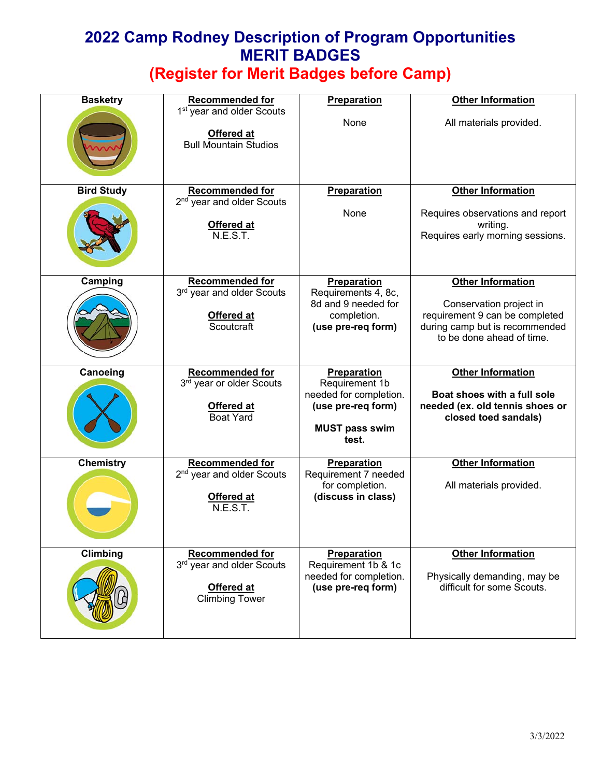| <b>Basketry</b>   | <b>Recommended for</b><br>1 <sup>st</sup> year and older Scouts | Preparation                                                                    | <b>Other Information</b>                                                                      |
|-------------------|-----------------------------------------------------------------|--------------------------------------------------------------------------------|-----------------------------------------------------------------------------------------------|
|                   | Offered at<br><b>Bull Mountain Studios</b>                      | None                                                                           | All materials provided.                                                                       |
| <b>Bird Study</b> | <b>Recommended for</b><br>2 <sup>nd</sup> year and older Scouts | <b>Preparation</b>                                                             | <b>Other Information</b>                                                                      |
|                   | Offered at<br>N.E.S.T.                                          | None                                                                           | Requires observations and report<br>writing.<br>Requires early morning sessions.              |
| Camping           | <b>Recommended for</b><br>3rd year and older Scouts             | Preparation<br>Requirements 4, 8c,                                             | <b>Other Information</b>                                                                      |
|                   |                                                                 | 8d and 9 needed for                                                            | Conservation project in                                                                       |
|                   | Offered at<br>Scoutcraft                                        | completion.<br>(use pre-req form)                                              | requirement 9 can be completed<br>during camp but is recommended<br>to be done ahead of time. |
| Canoeing          | <b>Recommended for</b><br>3 <sup>rd</sup> year or older Scouts  | Preparation<br>Requirement 1b                                                  | <b>Other Information</b>                                                                      |
|                   | Offered at<br><b>Boat Yard</b>                                  | needed for completion.<br>(use pre-req form)<br><b>MUST pass swim</b><br>test. | Boat shoes with a full sole<br>needed (ex. old tennis shoes or<br>closed toed sandals)        |
| <b>Chemistry</b>  | <b>Recommended for</b><br>2 <sup>nd</sup> year and older Scouts | Preparation<br>Requirement 7 needed                                            | <b>Other Information</b>                                                                      |
|                   | <b>Offered at</b><br>N.E.S.T.                                   | for completion.<br>(discuss in class)                                          | All materials provided.                                                                       |
| Climbing          | <b>Recommended for</b><br>3rd year and older Scouts             | Preparation<br>Requirement 1b & 1c                                             | <b>Other Information</b>                                                                      |
|                   | Offered at<br><b>Climbing Tower</b>                             | needed for completion.<br>(use pre-reg form)                                   | Physically demanding, may be<br>difficult for some Scouts.                                    |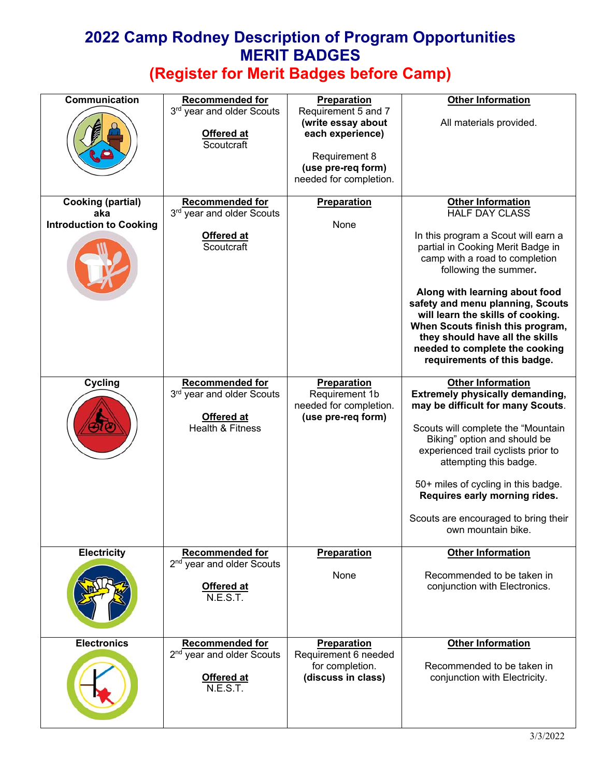| Communication                                                     | <b>Recommended for</b><br>3rd year and older Scouts<br>Offered at<br>Scoutcraft                  | Preparation<br>Requirement 5 and 7<br>(write essay about<br>each experience)<br>Requirement 8<br>(use pre-req form)<br>needed for completion. | <b>Other Information</b><br>All materials provided.                                                                                                                                                                                                                                                                                                                                                                                         |
|-------------------------------------------------------------------|--------------------------------------------------------------------------------------------------|-----------------------------------------------------------------------------------------------------------------------------------------------|---------------------------------------------------------------------------------------------------------------------------------------------------------------------------------------------------------------------------------------------------------------------------------------------------------------------------------------------------------------------------------------------------------------------------------------------|
| <b>Cooking (partial)</b><br>aka<br><b>Introduction to Cooking</b> | <b>Recommended for</b><br>3rd year and older Scouts<br>Offered at<br>Scoutcraft                  | <b>Preparation</b><br>None                                                                                                                    | <b>Other Information</b><br><b>HALF DAY CLASS</b><br>In this program a Scout will earn a<br>partial in Cooking Merit Badge in<br>camp with a road to completion<br>following the summer.<br>Along with learning about food<br>safety and menu planning, Scouts<br>will learn the skills of cooking.<br>When Scouts finish this program,<br>they should have all the skills<br>needed to complete the cooking<br>requirements of this badge. |
| <b>Cycling</b>                                                    | <b>Recommended for</b><br>3rd year and older Scouts<br>Offered at<br>Health & Fitness            | Preparation<br>Requirement 1b<br>needed for completion.<br>(use pre-req form)                                                                 | <b>Other Information</b><br><b>Extremely physically demanding,</b><br>may be difficult for many Scouts.<br>Scouts will complete the "Mountain<br>Biking" option and should be<br>experienced trail cyclists prior to<br>attempting this badge.<br>50+ miles of cycling in this badge.<br>Requires early morning rides.<br>Scouts are encouraged to bring their<br>own mountain bike.                                                        |
| <b>Electricity</b>                                                | <b>Recommended for</b><br>2 <sup>nd</sup> year and older Scouts<br>Offered at<br>N.E.S.T.        | <b>Preparation</b><br>None                                                                                                                    | <b>Other Information</b><br>Recommended to be taken in<br>conjunction with Electronics.                                                                                                                                                                                                                                                                                                                                                     |
| <b>Electronics</b>                                                | <b>Recommended for</b><br>2 <sup>nd</sup> year and older Scouts<br><b>Offered at</b><br>N.E.S.T. | <b>Preparation</b><br>Requirement 6 needed<br>for completion.<br>(discuss in class)                                                           | <b>Other Information</b><br>Recommended to be taken in<br>conjunction with Electricity.                                                                                                                                                                                                                                                                                                                                                     |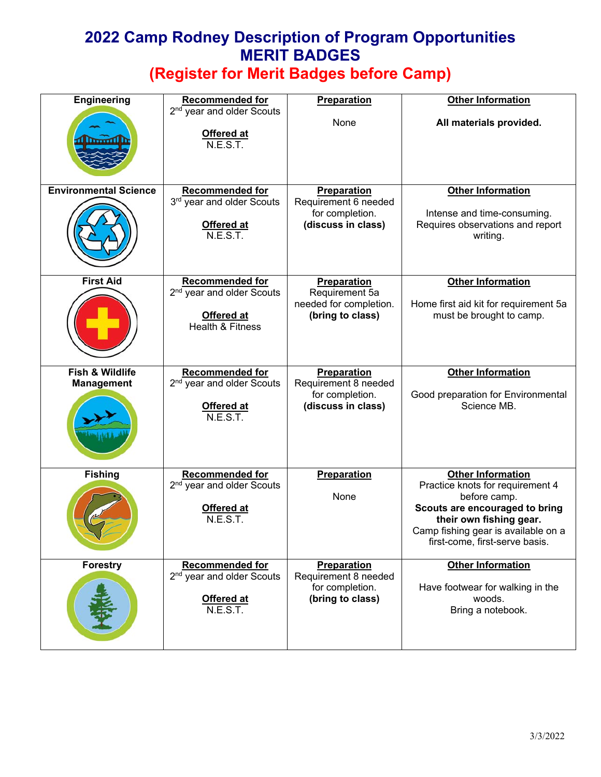| <b>Engineering</b>                   | <b>Recommended for</b>                                                 | <b>Preparation</b>                         | <b>Other Information</b>                                                                                                                           |
|--------------------------------------|------------------------------------------------------------------------|--------------------------------------------|----------------------------------------------------------------------------------------------------------------------------------------------------|
|                                      | 2 <sup>nd</sup> year and older Scouts<br><b>Offered at</b><br>N.E.S.T. | None                                       | All materials provided.                                                                                                                            |
| <b>Environmental Science</b>         | <b>Recommended for</b><br>3rd year and older Scouts                    | Preparation<br>Requirement 6 needed        | <b>Other Information</b>                                                                                                                           |
|                                      | <b>Offered at</b><br>N.E.S.T.                                          | for completion.<br>(discuss in class)      | Intense and time-consuming.<br>Requires observations and report<br>writing.                                                                        |
| <b>First Aid</b>                     | <b>Recommended for</b><br>2 <sup>nd</sup> year and older Scouts        | <b>Preparation</b><br>Requirement 5a       | <b>Other Information</b>                                                                                                                           |
|                                      | Offered at<br><b>Health &amp; Fitness</b>                              | needed for completion.<br>(bring to class) | Home first aid kit for requirement 5a<br>must be brought to camp.                                                                                  |
| Fish & Wildlife<br><b>Management</b> | <b>Recommended for</b><br>2 <sup>nd</sup> year and older Scouts        | <b>Preparation</b><br>Requirement 8 needed | <b>Other Information</b>                                                                                                                           |
|                                      | Offered at<br>N.E.S.T.                                                 | for completion.<br>(discuss in class)      | Good preparation for Environmental<br>Science MB.                                                                                                  |
| <b>Fishing</b>                       | Recommended for<br>2 <sup>nd</sup> year and older Scouts               | Preparation                                | <b>Other Information</b><br>Practice knots for requirement 4                                                                                       |
|                                      | <b>Offered at</b><br>N.E.S.T.                                          | None                                       | before camp.<br>Scouts are encouraged to bring<br>their own fishing gear.<br>Camp fishing gear is available on a<br>first-come, first-serve basis. |
| <b>Forestry</b>                      | <b>Recommended for</b><br>2 <sup>nd</sup> year and older Scouts        | <b>Preparation</b><br>Requirement 8 needed | <b>Other Information</b>                                                                                                                           |
|                                      | Offered at<br>N.E.S.T.                                                 | for completion.<br>(bring to class)        | Have footwear for walking in the<br>woods.<br>Bring a notebook.                                                                                    |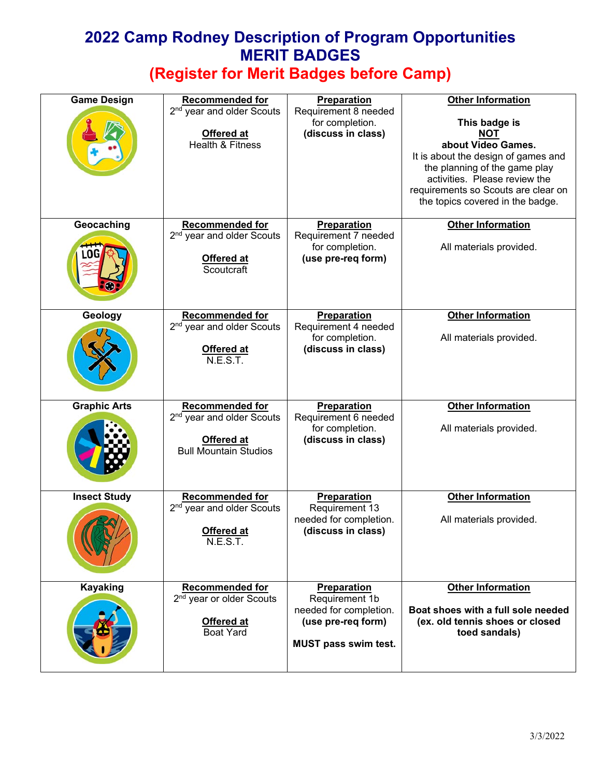| <b>Game Design</b>  | <b>Recommended for</b><br>2 <sup>nd</sup> year and older Scouts<br>Offered at<br>Health & Fitness             | <b>Preparation</b><br>Requirement 8 needed<br>for completion.<br>(discuss in class)                   | <b>Other Information</b><br>This badge is<br><b>NOT</b><br>about Video Games.<br>It is about the design of games and<br>the planning of the game play<br>activities. Please review the<br>requirements so Scouts are clear on<br>the topics covered in the badge. |
|---------------------|---------------------------------------------------------------------------------------------------------------|-------------------------------------------------------------------------------------------------------|-------------------------------------------------------------------------------------------------------------------------------------------------------------------------------------------------------------------------------------------------------------------|
| Geocaching<br>w     | <b>Recommended for</b><br>2 <sup>nd</sup> year and older Scouts<br><b>Offered at</b><br>Scoutcraft            | <b>Preparation</b><br>Requirement 7 needed<br>for completion.<br>(use pre-req form)                   | <b>Other Information</b><br>All materials provided.                                                                                                                                                                                                               |
| Geology             | <b>Recommended for</b><br>2 <sup>nd</sup> year and older Scouts<br>Offered at<br><b>N.E.S.T.</b>              | <b>Preparation</b><br>Requirement 4 needed<br>for completion.<br>(discuss in class)                   | <b>Other Information</b><br>All materials provided.                                                                                                                                                                                                               |
| <b>Graphic Arts</b> | <b>Recommended for</b><br>2 <sup>nd</sup> year and older Scouts<br>Offered at<br><b>Bull Mountain Studios</b> | Preparation<br>Requirement 6 needed<br>for completion.<br>(discuss in class)                          | <b>Other Information</b><br>All materials provided.                                                                                                                                                                                                               |
| <b>Insect Study</b> | <b>Recommended for</b><br>2 <sup>nd</sup> year and older Scouts<br><b>Offered at</b><br><b>N.E.S.T.</b>       | Preparation<br>Requirement 13<br>needed for completion.<br>(discuss in class)                         | <b>Other Information</b><br>All materials provided.                                                                                                                                                                                                               |
| <b>Kayaking</b>     | <b>Recommended for</b><br>2 <sup>nd</sup> year or older Scouts<br>Offered at<br><b>Boat Yard</b>              | Preparation<br>Requirement 1b<br>needed for completion.<br>(use pre-reg form)<br>MUST pass swim test. | <b>Other Information</b><br>Boat shoes with a full sole needed<br>(ex. old tennis shoes or closed<br>toed sandals)                                                                                                                                                |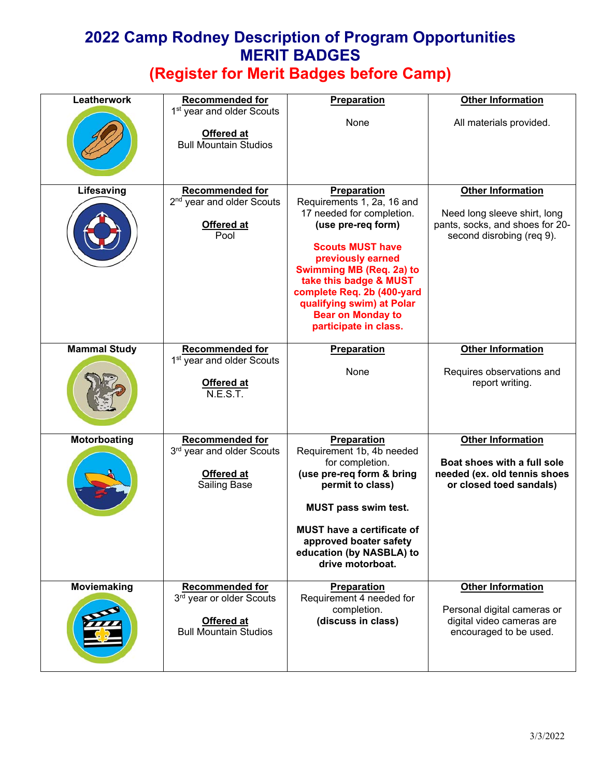| Leatherwork         | <b>Recommended for</b>                                                                           | Preparation                                                                                                                                                                                                                                                                                                                      | <b>Other Information</b>                                                                                                 |
|---------------------|--------------------------------------------------------------------------------------------------|----------------------------------------------------------------------------------------------------------------------------------------------------------------------------------------------------------------------------------------------------------------------------------------------------------------------------------|--------------------------------------------------------------------------------------------------------------------------|
|                     | 1 <sup>st</sup> year and older Scouts<br>Offered at<br><b>Bull Mountain Studios</b>              | None                                                                                                                                                                                                                                                                                                                             | All materials provided.                                                                                                  |
| Lifesaving          | <b>Recommended for</b><br>2 <sup>nd</sup> year and older Scouts<br>Offered at<br>Pool            | <b>Preparation</b><br>Requirements 1, 2a, 16 and<br>17 needed for completion.<br>(use pre-req form)<br><b>Scouts MUST have</b><br>previously earned<br><b>Swimming MB (Req. 2a) to</b><br>take this badge & MUST<br>complete Req. 2b (400-yard<br>qualifying swim) at Polar<br><b>Bear on Monday to</b><br>participate in class. | <b>Other Information</b><br>Need long sleeve shirt, long<br>pants, socks, and shoes for 20-<br>second disrobing (req 9). |
| <b>Mammal Study</b> | <b>Recommended for</b><br>1 <sup>st</sup> year and older Scouts<br>Offered at<br>N.E.S.T.        | Preparation<br>None                                                                                                                                                                                                                                                                                                              | <b>Other Information</b><br>Requires observations and<br>report writing.                                                 |
| Motorboating        | <b>Recommended for</b><br>3rd year and older Scouts<br><b>Offered at</b><br><b>Sailing Base</b>  | Preparation<br>Requirement 1b, 4b needed<br>for completion.<br>(use pre-req form & bring<br>permit to class)<br><b>MUST pass swim test.</b><br><b>MUST have a certificate of</b><br>approved boater safety<br>education (by NASBLA) to<br>drive motorboat.                                                                       | <b>Other Information</b><br>Boat shoes with a full sole<br>needed (ex. old tennis shoes<br>or closed toed sandals)       |
| Moviemaking         | <b>Recommended for</b><br>3rd year or older Scouts<br>Offered at<br><b>Bull Mountain Studios</b> | <b>Preparation</b><br>Requirement 4 needed for<br>completion.<br>(discuss in class)                                                                                                                                                                                                                                              | <b>Other Information</b><br>Personal digital cameras or<br>digital video cameras are<br>encouraged to be used.           |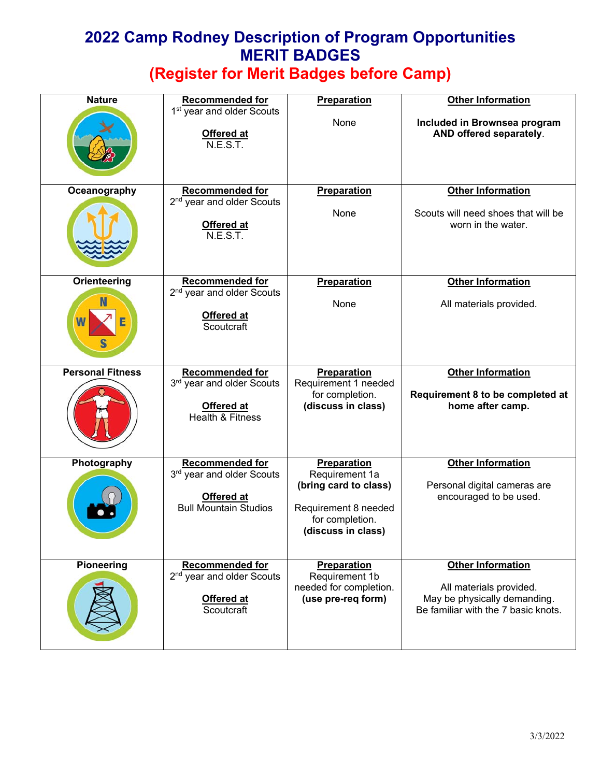| <b>Nature</b>           | <b>Recommended for</b><br>1 <sup>st</sup> year and older Scouts | Preparation                                                                            | <b>Other Information</b>                                                                       |
|-------------------------|-----------------------------------------------------------------|----------------------------------------------------------------------------------------|------------------------------------------------------------------------------------------------|
|                         | <b>Offered at</b><br>N.E.S.T.                                   | None                                                                                   | Included in Brownsea program<br>AND offered separately.                                        |
| Oceanography            | <b>Recommended for</b><br>2 <sup>nd</sup> year and older Scouts | <b>Preparation</b>                                                                     | <b>Other Information</b>                                                                       |
|                         | Offered at<br>N.E.S.T.                                          | None                                                                                   | Scouts will need shoes that will be<br>worn in the water.                                      |
| Orienteering            | <b>Recommended for</b><br>2 <sup>nd</sup> year and older Scouts | Preparation                                                                            | <b>Other Information</b>                                                                       |
|                         | Offered at<br>Scoutcraft                                        | None                                                                                   | All materials provided.                                                                        |
| <b>Personal Fitness</b> | <b>Recommended for</b><br>3rd year and older Scouts             | Preparation<br>Requirement 1 needed                                                    | <b>Other Information</b>                                                                       |
|                         | Offered at<br><b>Health &amp; Fitness</b>                       | for completion.<br>(discuss in class)                                                  | Requirement 8 to be completed at<br>home after camp.                                           |
| Photography             | <b>Recommended for</b><br>3rd year and older Scouts             | Preparation<br>Requirement 1a                                                          | <b>Other Information</b>                                                                       |
|                         | Offered at<br><b>Bull Mountain Studios</b>                      | (bring card to class)<br>Requirement 8 needed<br>for completion.<br>(discuss in class) | Personal digital cameras are<br>encouraged to be used.                                         |
| <b>Pioneering</b>       | <b>Recommended for</b><br>2 <sup>nd</sup> year and older Scouts | <b>Preparation</b><br>Requirement 1b                                                   | <b>Other Information</b>                                                                       |
|                         | <b>Offered at</b><br>Scoutcraft                                 | needed for completion.<br>(use pre-req form)                                           | All materials provided.<br>May be physically demanding.<br>Be familiar with the 7 basic knots. |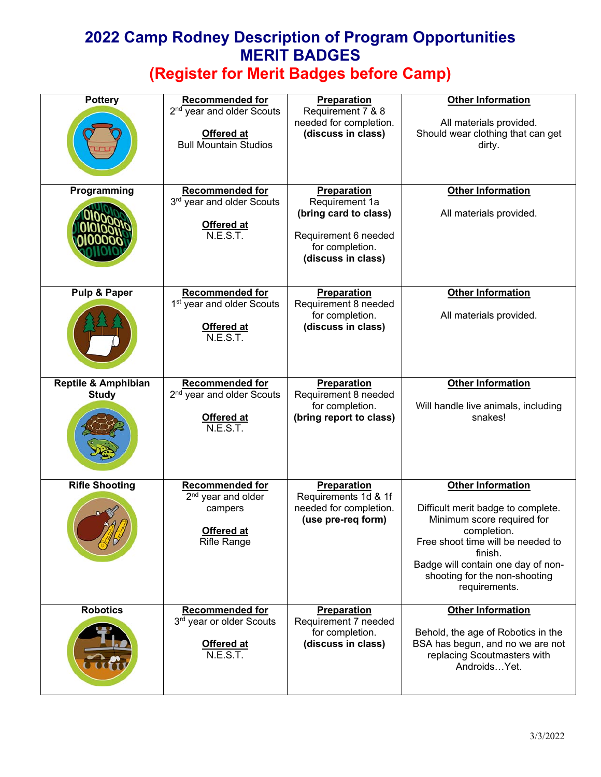| <b>Pottery</b>                                 | <b>Recommended for</b><br>2 <sup>nd</sup> year and older Scouts<br>Offered at<br><b>Bull Mountain Studios</b> | <b>Preparation</b><br>Requirement 7 & 8<br>needed for completion.<br>(discuss in class)                                        | <b>Other Information</b><br>All materials provided.<br>Should wear clothing that can get<br>dirty.                                                                                                                                                  |
|------------------------------------------------|---------------------------------------------------------------------------------------------------------------|--------------------------------------------------------------------------------------------------------------------------------|-----------------------------------------------------------------------------------------------------------------------------------------------------------------------------------------------------------------------------------------------------|
| Programming                                    | <b>Recommended for</b><br>3rd year and older Scouts<br><b>Offered at</b><br>N.E.S.T.                          | <b>Preparation</b><br>Requirement 1a<br>(bring card to class)<br>Requirement 6 needed<br>for completion.<br>(discuss in class) | <b>Other Information</b><br>All materials provided.                                                                                                                                                                                                 |
| Pulp & Paper                                   | <b>Recommended for</b><br>1 <sup>st</sup> year and older Scouts<br><b>Offered at</b><br><b>N.E.S.T.</b>       | Preparation<br>Requirement 8 needed<br>for completion.<br>(discuss in class)                                                   | <b>Other Information</b><br>All materials provided.                                                                                                                                                                                                 |
| <b>Reptile &amp; Amphibian</b><br><b>Study</b> | <b>Recommended for</b><br>2 <sup>nd</sup> year and older Scouts<br><b>Offered at</b><br>N.E.S.T.              | Preparation<br>Requirement 8 needed<br>for completion.<br>(bring report to class)                                              | <b>Other Information</b><br>Will handle live animals, including<br>snakes!                                                                                                                                                                          |
| <b>Rifle Shooting</b>                          | <b>Recommended for</b><br>2 <sup>nd</sup> year and older<br>campers<br>Offered at<br><b>Rifle Range</b>       | <b>Preparation</b><br>Requirements 1d & 1f<br>needed for completion.<br>(use pre-req form)                                     | <b>Other Information</b><br>Difficult merit badge to complete.<br>Minimum score required for<br>completion.<br>Free shoot time will be needed to<br>finish.<br>Badge will contain one day of non-<br>shooting for the non-shooting<br>requirements. |
| <b>Robotics</b>                                | <b>Recommended for</b><br>3 <sup>rd</sup> year or older Scouts<br><b>Offered at</b><br>N.E.S.T.               | <b>Preparation</b><br>Requirement 7 needed<br>for completion.<br>(discuss in class)                                            | <b>Other Information</b><br>Behold, the age of Robotics in the<br>BSA has begun, and no we are not<br>replacing Scoutmasters with<br>AndroidsYet.                                                                                                   |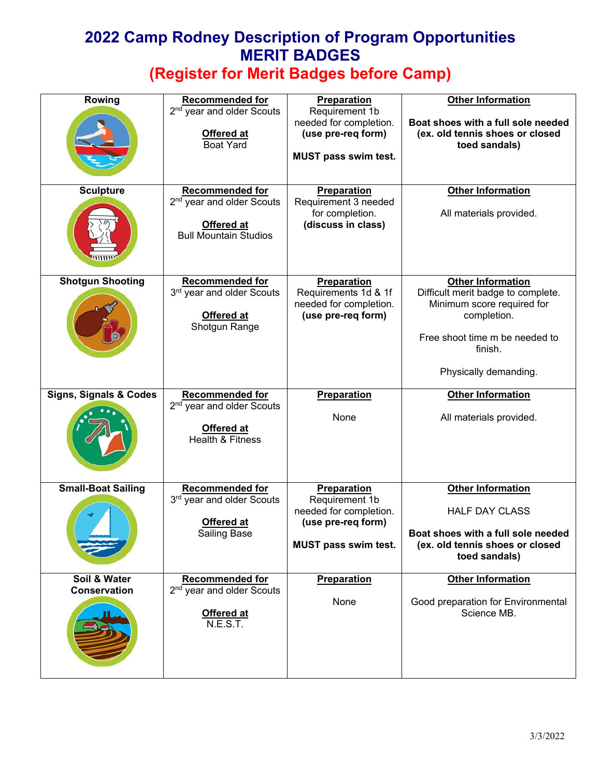| Rowing                              | <b>Recommended for</b><br>2 <sup>nd</sup> year and older Scouts<br>Offered at<br><b>Boat Yard</b>             | Preparation<br>Requirement 1b<br>needed for completion.<br>(use pre-req form)<br><b>MUST pass swim test.</b> | <b>Other Information</b><br>Boat shoes with a full sole needed<br>(ex. old tennis shoes or closed<br>toed sandals)                                                                |
|-------------------------------------|---------------------------------------------------------------------------------------------------------------|--------------------------------------------------------------------------------------------------------------|-----------------------------------------------------------------------------------------------------------------------------------------------------------------------------------|
| <b>Sculpture</b>                    | <b>Recommended for</b><br>2 <sup>nd</sup> year and older Scouts<br>Offered at<br><b>Bull Mountain Studios</b> | <b>Preparation</b><br>Requirement 3 needed<br>for completion.<br>(discuss in class)                          | <b>Other Information</b><br>All materials provided.                                                                                                                               |
| <b>Shotgun Shooting</b>             | Recommended for<br>3rd year and older Scouts<br>Offered at<br>Shotgun Range                                   | Preparation<br>Requirements 1d & 1f<br>needed for completion.<br>(use pre-req form)                          | <b>Other Information</b><br>Difficult merit badge to complete.<br>Minimum score required for<br>completion.<br>Free shoot time m be needed to<br>finish.<br>Physically demanding. |
| <b>Signs, Signals &amp; Codes</b>   | <b>Recommended for</b><br>2 <sup>nd</sup> year and older Scouts<br>Offered at<br><b>Health &amp; Fitness</b>  | Preparation<br>None                                                                                          | <b>Other Information</b><br>All materials provided.                                                                                                                               |
| <b>Small-Boat Sailing</b>           | <b>Recommended for</b><br>3rd year and older Scouts<br>Offered at<br>Sailing Base                             | Preparation<br>Requirement 1b<br>needed for completion.<br>(use pre-req form)<br>MUST pass swim test.        | <b>Other Information</b><br><b>HALF DAY CLASS</b><br>Boat shoes with a full sole needed<br>(ex. old tennis shoes or closed<br>toed sandals)                                       |
| Soil & Water<br><b>Conservation</b> | <b>Recommended for</b><br>2 <sup>nd</sup> year and older Scouts<br>Offered at<br>N.E.S.T.                     | <b>Preparation</b><br>None                                                                                   | <b>Other Information</b><br>Good preparation for Environmental<br>Science MB.                                                                                                     |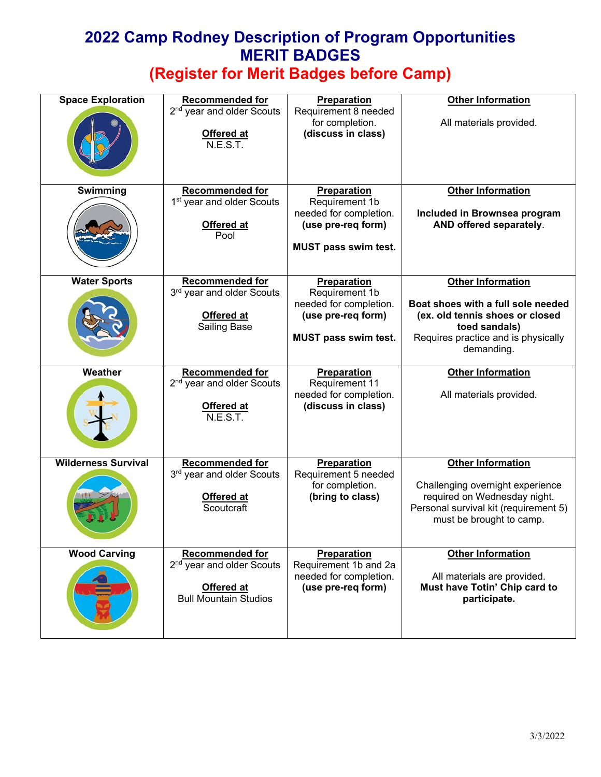| <b>Space Exploration</b>   | <b>Recommended for</b><br>2 <sup>nd</sup> year and older Scouts<br><b>Offered at</b><br>N.E.S.T.              | Preparation<br>Requirement 8 needed<br>for completion.<br>(discuss in class)                                        | <b>Other Information</b><br>All materials provided.                                                                                                                     |
|----------------------------|---------------------------------------------------------------------------------------------------------------|---------------------------------------------------------------------------------------------------------------------|-------------------------------------------------------------------------------------------------------------------------------------------------------------------------|
| Swimming                   | <b>Recommended for</b><br>1 <sup>st</sup> year and older Scouts<br>Offered at<br>Pool                         | <b>Preparation</b><br>Requirement 1b<br>needed for completion.<br>(use pre-req form)<br><b>MUST pass swim test.</b> | <b>Other Information</b><br>Included in Brownsea program<br>AND offered separately.                                                                                     |
| <b>Water Sports</b>        | <b>Recommended for</b><br>3rd year and older Scouts<br>Offered at<br><b>Sailing Base</b>                      | Preparation<br>Requirement 1b<br>needed for completion.<br>(use pre-req form)<br><b>MUST pass swim test.</b>        | <b>Other Information</b><br>Boat shoes with a full sole needed<br>(ex. old tennis shoes or closed<br>toed sandals)<br>Requires practice and is physically<br>demanding. |
| Weather                    | <b>Recommended for</b><br>2 <sup>nd</sup> year and older Scouts<br><b>Offered at</b><br>N.E.S.T.              | Preparation<br>Requirement 11<br>needed for completion.<br>(discuss in class)                                       | <b>Other Information</b><br>All materials provided.                                                                                                                     |
| <b>Wilderness Survival</b> | <b>Recommended for</b><br>3rd year and older Scouts<br><b>Offered at</b><br>Scoutcraft                        | <b>Preparation</b><br>Requirement 5 needed<br>for completion.<br>(bring to class)                                   | <b>Other Information</b><br>Challenging overnight experience<br>required on Wednesday night.<br>Personal survival kit (requirement 5)<br>must be brought to camp.       |
| <b>Wood Carving</b>        | <b>Recommended for</b><br>2 <sup>nd</sup> year and older Scouts<br>Offered at<br><b>Bull Mountain Studios</b> | Preparation<br>Requirement 1b and 2a<br>needed for completion.<br>(use pre-req form)                                | <b>Other Information</b><br>All materials are provided.<br>Must have Totin' Chip card to<br>participate.                                                                |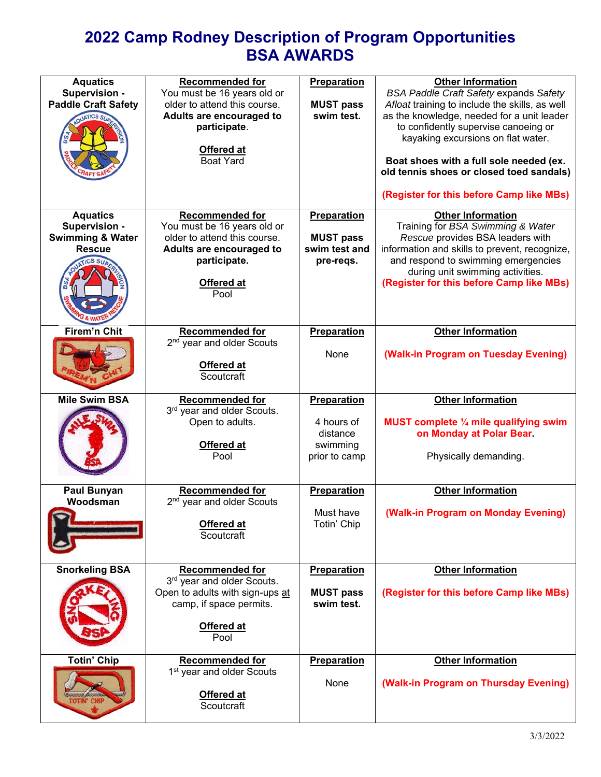# **2022 Camp Rodney Description of Program Opportunities BSA AWARDS**

| <b>Aquatics</b><br>Supervision -<br><b>Paddle Craft Safety</b>                   | <b>Recommended for</b><br>You must be 16 years old or<br>older to attend this course.<br>Adults are encouraged to<br>participate.<br>Offered at<br><b>Boat Yard</b> | <b>Preparation</b><br><b>MUST pass</b><br>swim test.               | <b>Other Information</b><br><b>BSA Paddle Craft Safety expands Safety</b><br>Afloat training to include the skills, as well<br>as the knowledge, needed for a unit leader<br>to confidently supervise canoeing or<br>kayaking excursions on flat water.<br>Boat shoes with a full sole needed (ex.<br>old tennis shoes or closed toed sandals)<br>(Register for this before Camp like MBs) |
|----------------------------------------------------------------------------------|---------------------------------------------------------------------------------------------------------------------------------------------------------------------|--------------------------------------------------------------------|--------------------------------------------------------------------------------------------------------------------------------------------------------------------------------------------------------------------------------------------------------------------------------------------------------------------------------------------------------------------------------------------|
| <b>Aquatics</b><br>Supervision -<br><b>Swimming &amp; Water</b><br><b>Rescue</b> | <b>Recommended for</b><br>You must be 16 years old or<br>older to attend this course.<br>Adults are encouraged to<br>participate.<br>Offered at<br>Pool             | Preparation<br><b>MUST pass</b><br>swim test and<br>pre-reqs.      | <b>Other Information</b><br>Training for BSA Swimming & Water<br>Rescue provides BSA leaders with<br>information and skills to prevent, recognize,<br>and respond to swimming emergencies<br>during unit swimming activities.<br>(Register for this before Camp like MBs)                                                                                                                  |
| <b>Firem'n Chit</b>                                                              | <b>Recommended for</b><br>2 <sup>nd</sup> year and older Scouts<br>Offered at<br>Scoutcraft                                                                         | Preparation<br>None                                                | <b>Other Information</b><br>(Walk-in Program on Tuesday Evening)                                                                                                                                                                                                                                                                                                                           |
| <b>Mile Swim BSA</b>                                                             | <b>Recommended for</b><br>3rd year and older Scouts.<br>Open to adults.<br>Offered at<br>Pool                                                                       | Preparation<br>4 hours of<br>distance<br>swimming<br>prior to camp | <b>Other Information</b><br>MUST complete 1/4 mile qualifying swim<br>on Monday at Polar Bear.<br>Physically demanding.                                                                                                                                                                                                                                                                    |
| <b>Paul Bunyan</b><br>Woodsman                                                   | <b>Recommended for</b><br>2 <sup>nd</sup> year and older Scouts<br>Offered at<br>Scoutcraft                                                                         | Preparation<br>Must have<br>Totin' Chip                            | <b>Other Information</b><br>(Walk-in Program on Monday Evening)                                                                                                                                                                                                                                                                                                                            |
| <b>Snorkeling BSA</b>                                                            | <b>Recommended for</b><br>3 <sup>rd</sup> year and older Scouts.<br>Open to adults with sign-ups at<br>camp, if space permits.<br>Offered at<br>Pool                | Preparation<br><b>MUST pass</b><br>swim test.                      | <b>Other Information</b><br>(Register for this before Camp like MBs)                                                                                                                                                                                                                                                                                                                       |
| <b>Totin' Chip</b>                                                               | <b>Recommended for</b><br>1 <sup>st</sup> year and older Scouts<br>Offered at<br>Scoutcraft                                                                         | Preparation<br>None                                                | <b>Other Information</b><br>(Walk-in Program on Thursday Evening)                                                                                                                                                                                                                                                                                                                          |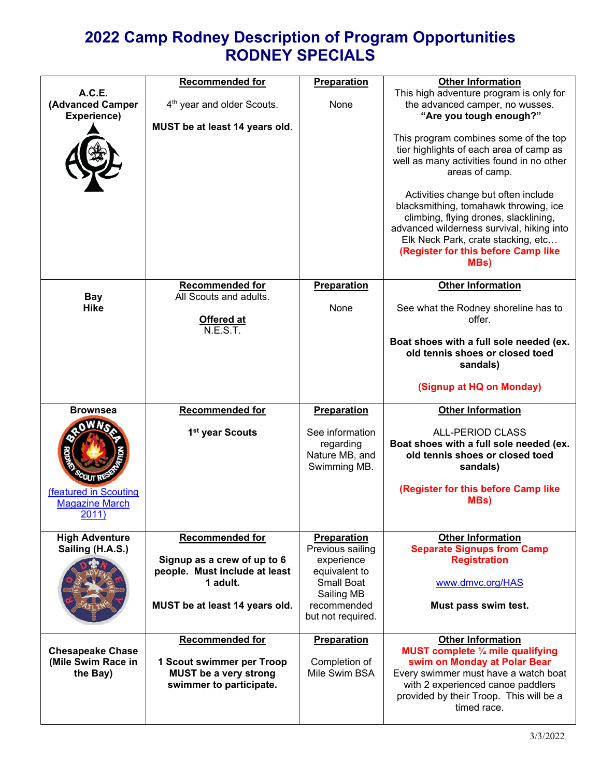# **2022 Camp Rodney Description of Program Opportunities RODNEY SPECIALS**

| A.C.E.<br>(Advanced Camper<br>Experience)                 | <b>Recommended for</b><br>4 <sup>th</sup> year and older Scouts.                                   | Preparation<br>None                                                                        | <b>Other Information</b><br>This high adventure program is only for<br>the advanced camper, no wusses.<br>"Are you tough enough?"                                                                                                                       |
|-----------------------------------------------------------|----------------------------------------------------------------------------------------------------|--------------------------------------------------------------------------------------------|---------------------------------------------------------------------------------------------------------------------------------------------------------------------------------------------------------------------------------------------------------|
|                                                           | MUST be at least 14 years old.                                                                     |                                                                                            | This program combines some of the top<br>tier highlights of each area of camp as<br>well as many activities found in no other<br>areas of camp.                                                                                                         |
|                                                           |                                                                                                    |                                                                                            | Activities change but often include<br>blacksmithing, tomahawk throwing, ice<br>climbing, flying drones, slacklining,<br>advanced wilderness survival, hiking into<br>Elk Neck Park, crate stacking, etc<br>(Register for this before Camp like<br>MBs) |
|                                                           | <b>Recommended for</b>                                                                             | Preparation                                                                                | <b>Other Information</b>                                                                                                                                                                                                                                |
| <b>Bay</b>                                                | All Scouts and adults.                                                                             |                                                                                            |                                                                                                                                                                                                                                                         |
| <b>Hike</b>                                               | Offered at<br>N.E.S.T.                                                                             | None                                                                                       | See what the Rodney shoreline has to<br>offer.                                                                                                                                                                                                          |
|                                                           |                                                                                                    |                                                                                            | Boat shoes with a full sole needed (ex.<br>old tennis shoes or closed toed<br>sandals)                                                                                                                                                                  |
|                                                           |                                                                                                    |                                                                                            | (Signup at HQ on Monday)                                                                                                                                                                                                                                |
| <b>Brownsea</b>                                           | <b>Recommended for</b>                                                                             | <b>Preparation</b>                                                                         | <b>Other Information</b>                                                                                                                                                                                                                                |
|                                                           | 1 <sup>st</sup> year Scouts                                                                        | See information<br>regarding<br>Nature MB, and<br>Swimming MB.                             | <b>ALL-PERIOD CLASS</b><br>Boat shoes with a full sole needed (ex.<br>old tennis shoes or closed toed<br>sandals)                                                                                                                                       |
| (featured in Scouting<br><b>Magazine March</b><br>2011)   |                                                                                                    |                                                                                            | (Register for this before Camp like<br>MBs)                                                                                                                                                                                                             |
| <b>High Adventure</b><br>Sailing (H.A.S.)                 | <b>Recommended for</b><br>Signup as a crew of up to 6<br>people. Must include at least<br>1 adult. | <b>Preparation</b><br>Previous sailing<br>experience<br>equivalent to<br><b>Small Boat</b> | <b>Other Information</b><br><b>Separate Signups from Camp</b><br><b>Registration</b><br>www.dmvc.org/HAS                                                                                                                                                |
|                                                           |                                                                                                    | Sailing MB                                                                                 |                                                                                                                                                                                                                                                         |
|                                                           | MUST be at least 14 years old.                                                                     | recommended<br>but not required.                                                           | Must pass swim test.                                                                                                                                                                                                                                    |
|                                                           | <b>Recommended for</b>                                                                             | <b>Preparation</b>                                                                         | <b>Other Information</b>                                                                                                                                                                                                                                |
| <b>Chesapeake Chase</b><br>(Mile Swim Race in<br>the Bay) | 1 Scout swimmer per Troop<br><b>MUST be a very strong</b><br>swimmer to participate.               | Completion of<br>Mile Swim BSA                                                             | MUST complete 1/4 mile qualifying<br>swim on Monday at Polar Bear<br>Every swimmer must have a watch boat<br>with 2 experienced canoe paddlers<br>provided by their Troop. This will be a                                                               |
|                                                           |                                                                                                    |                                                                                            | timed race.                                                                                                                                                                                                                                             |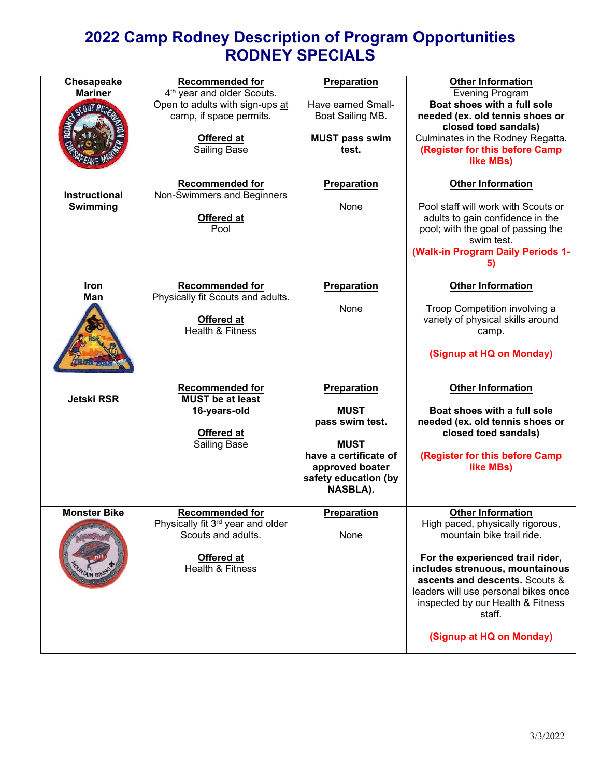# **2022 Camp Rodney Description of Program Opportunities RODNEY SPECIALS**

| Chesapeake<br><b>Mariner</b><br>CCOUTAF | <b>Recommended for</b><br>4 <sup>th</sup> year and older Scouts.<br>Open to adults with sign-ups at<br>camp, if space permits.<br>Offered at<br><b>Sailing Base</b><br><b>Recommended for</b> | Preparation<br>Have earned Small-<br>Boat Sailing MB.<br><b>MUST pass swim</b><br>test.                                                      | <b>Other Information</b><br><b>Evening Program</b><br>Boat shoes with a full sole<br>needed (ex. old tennis shoes or<br>closed toed sandals)<br>Culminates in the Rodney Regatta.<br>(Register for this before Camp<br>like MBs)                                                                                      |
|-----------------------------------------|-----------------------------------------------------------------------------------------------------------------------------------------------------------------------------------------------|----------------------------------------------------------------------------------------------------------------------------------------------|-----------------------------------------------------------------------------------------------------------------------------------------------------------------------------------------------------------------------------------------------------------------------------------------------------------------------|
| <b>Instructional</b><br>Swimming        | Non-Swimmers and Beginners<br>Offered at<br>Pool                                                                                                                                              | <b>Preparation</b><br>None                                                                                                                   | <b>Other Information</b><br>Pool staff will work with Scouts or<br>adults to gain confidence in the<br>pool; with the goal of passing the<br>swim test.<br>(Walk-in Program Daily Periods 1-<br>5)                                                                                                                    |
| <b>Iron</b><br>Man                      | <b>Recommended for</b><br>Physically fit Scouts and adults.<br>Offered at<br><b>Health &amp; Fitness</b>                                                                                      | Preparation<br>None                                                                                                                          | <b>Other Information</b><br>Troop Competition involving a<br>variety of physical skills around<br>camp.<br>(Signup at HQ on Monday)                                                                                                                                                                                   |
| <b>Jetski RSR</b>                       | <b>Recommended for</b><br><b>MUST be at least</b><br>16-years-old<br>Offered at<br><b>Sailing Base</b>                                                                                        | Preparation<br><b>MUST</b><br>pass swim test.<br><b>MUST</b><br>have a certificate of<br>approved boater<br>safety education (by<br>NASBLA). | <b>Other Information</b><br>Boat shoes with a full sole<br>needed (ex. old tennis shoes or<br>closed toed sandals)<br>(Register for this before Camp<br>like MBs)                                                                                                                                                     |
| <b>Monster Bike</b>                     | <b>Recommended for</b><br>Physically fit $3^{rd}$ year and older<br>Scouts and adults.<br>Offered at<br>Health & Fitness                                                                      | Preparation<br>None                                                                                                                          | <b>Other Information</b><br>High paced, physically rigorous,<br>mountain bike trail ride.<br>For the experienced trail rider,<br>includes strenuous, mountainous<br>ascents and descents. Scouts &<br>leaders will use personal bikes once<br>inspected by our Health & Fitness<br>staff.<br>(Signup at HQ on Monday) |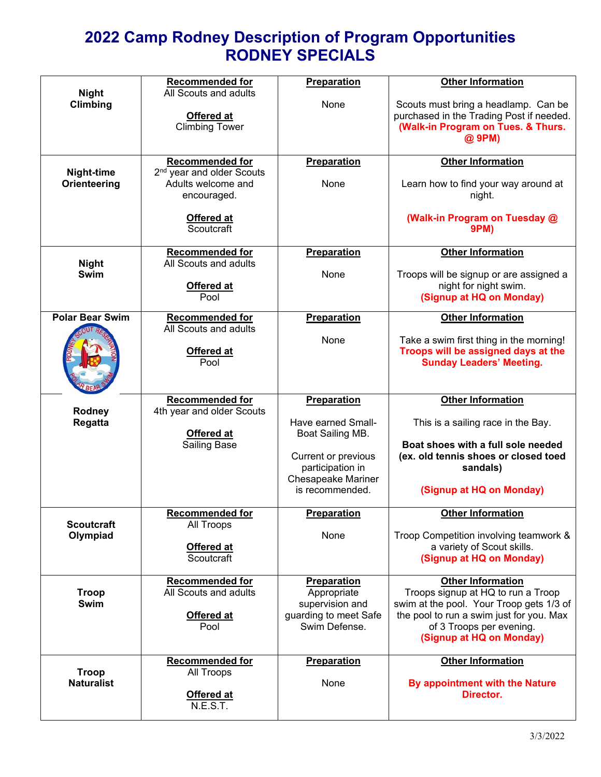# **2022 Camp Rodney Description of Program Opportunities RODNEY SPECIALS**

|                                   | <b>Recommended for</b><br>All Scouts and adults                                                                                  | Preparation                                                                                                                                      | <b>Other Information</b>                                                                                                                                                                                       |
|-----------------------------------|----------------------------------------------------------------------------------------------------------------------------------|--------------------------------------------------------------------------------------------------------------------------------------------------|----------------------------------------------------------------------------------------------------------------------------------------------------------------------------------------------------------------|
| <b>Night</b><br>Climbing          | Offered at<br><b>Climbing Tower</b>                                                                                              | None                                                                                                                                             | Scouts must bring a headlamp. Can be<br>purchased in the Trading Post if needed.<br>(Walk-in Program on Tues. & Thurs.<br>@ 9PM)                                                                               |
| Night-time<br>Orienteering        | <b>Recommended for</b><br>2 <sup>nd</sup> year and older Scouts<br>Adults welcome and<br>encouraged.<br>Offered at<br>Scoutcraft | Preparation<br>None                                                                                                                              | <b>Other Information</b><br>Learn how to find your way around at<br>night.<br>(Walk-in Program on Tuesday @<br><b>9PM)</b>                                                                                     |
| <b>Night</b><br>Swim              | <b>Recommended for</b><br>All Scouts and adults<br>Offered at<br>Pool                                                            | Preparation<br>None                                                                                                                              | <b>Other Information</b><br>Troops will be signup or are assigned a<br>night for night swim.<br>(Signup at HQ on Monday)                                                                                       |
| <b>Polar Bear Swim</b>            | <b>Recommended for</b><br>All Scouts and adults<br>Offered at<br>Pool                                                            | Preparation<br>None                                                                                                                              | <b>Other Information</b><br>Take a swim first thing in the morning!<br>Troops will be assigned days at the<br><b>Sunday Leaders' Meeting.</b>                                                                  |
| Rodney<br><b>Regatta</b>          | <b>Recommended for</b><br>4th year and older Scouts<br>Offered at<br><b>Sailing Base</b>                                         | Preparation<br>Have earned Small-<br>Boat Sailing MB.<br>Current or previous<br>participation in<br><b>Chesapeake Mariner</b><br>is recommended. | <b>Other Information</b><br>This is a sailing race in the Bay.<br>Boat shoes with a full sole needed<br>(ex. old tennis shoes or closed toed<br>sandals)<br>(Signup at HQ on Monday)                           |
| <b>Scoutcraft</b><br>Olympiad     | Recommended for<br>All Troops<br>Offered at<br>Scoutcraft                                                                        | Preparation<br>None                                                                                                                              | <b>Other Information</b><br>Troop Competition involving teamwork &<br>a variety of Scout skills.<br>(Signup at HQ on Monday)                                                                                   |
| <b>Troop</b><br><b>Swim</b>       | <b>Recommended for</b><br>All Scouts and adults<br>Offered at<br>Pool                                                            | Preparation<br>Appropriate<br>supervision and<br>guarding to meet Safe<br>Swim Defense.                                                          | <b>Other Information</b><br>Troops signup at HQ to run a Troop<br>swim at the pool. Your Troop gets 1/3 of<br>the pool to run a swim just for you. Max<br>of 3 Troops per evening.<br>(Signup at HQ on Monday) |
| <b>Troop</b><br><b>Naturalist</b> | <b>Recommended for</b><br>All Troops<br>Offered at<br>N.E.S.T.                                                                   | <b>Preparation</b><br>None                                                                                                                       | <b>Other Information</b><br>By appointment with the Nature<br>Director.                                                                                                                                        |